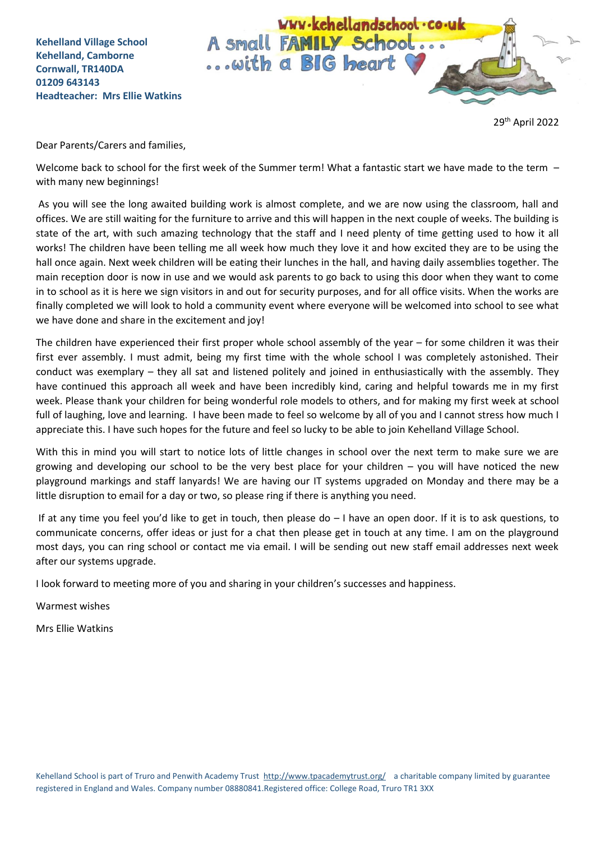WWW.kehellandschool.co.uk A small FAMILY School.. ... with a BIG heart

29th April 2022

Dear Parents/Carers and families,

Welcome back to school for the first week of the Summer term! What a fantastic start we have made to the term  $$ with many new beginnings!

As you will see the long awaited building work is almost complete, and we are now using the classroom, hall and offices. We are still waiting for the furniture to arrive and this will happen in the next couple of weeks. The building is state of the art, with such amazing technology that the staff and I need plenty of time getting used to how it all works! The children have been telling me all week how much they love it and how excited they are to be using the hall once again. Next week children will be eating their lunches in the hall, and having daily assemblies together. The main reception door is now in use and we would ask parents to go back to using this door when they want to come in to school as it is here we sign visitors in and out for security purposes, and for all office visits. When the works are finally completed we will look to hold a community event where everyone will be welcomed into school to see what we have done and share in the excitement and joy!

The children have experienced their first proper whole school assembly of the year – for some children it was their first ever assembly. I must admit, being my first time with the whole school I was completely astonished. Their conduct was exemplary – they all sat and listened politely and joined in enthusiastically with the assembly. They have continued this approach all week and have been incredibly kind, caring and helpful towards me in my first week. Please thank your children for being wonderful role models to others, and for making my first week at school full of laughing, love and learning. I have been made to feel so welcome by all of you and I cannot stress how much I appreciate this. I have such hopes for the future and feel so lucky to be able to join Kehelland Village School.

With this in mind you will start to notice lots of little changes in school over the next term to make sure we are growing and developing our school to be the very best place for your children – you will have noticed the new playground markings and staff lanyards! We are having our IT systems upgraded on Monday and there may be a little disruption to email for a day or two, so please ring if there is anything you need.

If at any time you feel you'd like to get in touch, then please do – I have an open door. If it is to ask questions, to communicate concerns, offer ideas or just for a chat then please get in touch at any time. I am on the playground most days, you can ring school or contact me via email. I will be sending out new staff email addresses next week after our systems upgrade.

I look forward to meeting more of you and sharing in your children's successes and happiness.

Warmest wishes

Mrs Ellie Watkins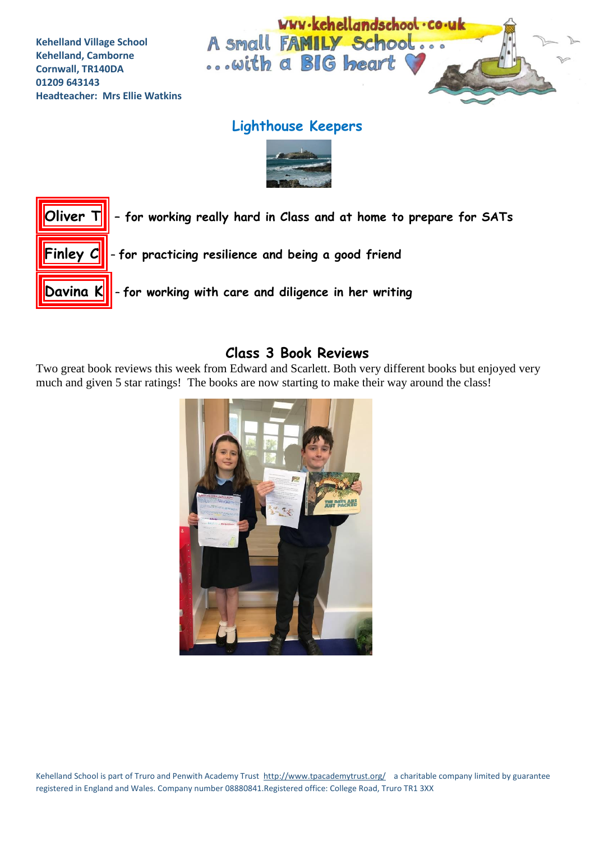

## **Lighthouse Keepers**





### **Class 3 Book Reviews**

Two great book reviews this week from Edward and Scarlett. Both very different books but enjoyed very much and given 5 star ratings! The books are now starting to make their way around the class!

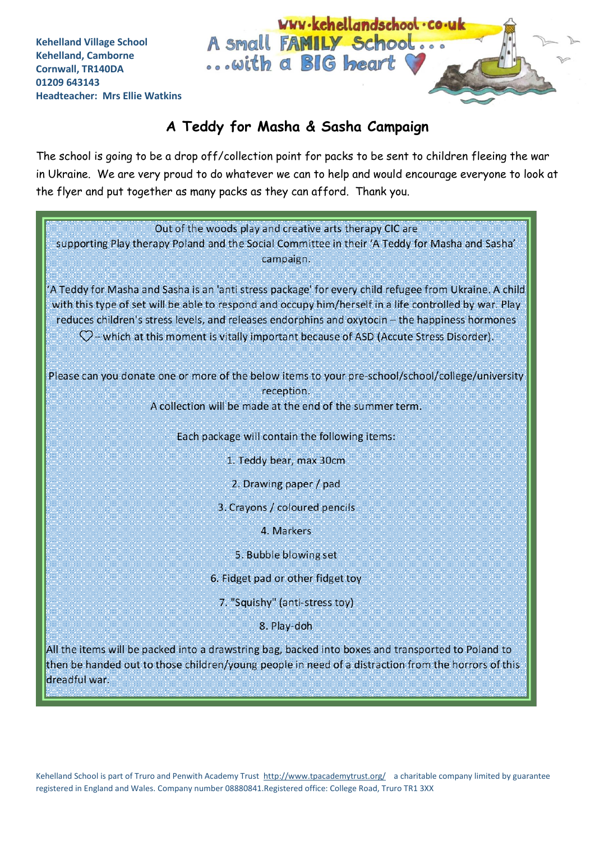# **A Teddy for Masha & Sasha Campaign**

... with a BIG heart

A small FAMILY School...

WWW.kehellandschool.co.uk

The school is going to be a drop off/collection point for packs to be sent to children fleeing the war in Ukraine. We are very proud to do whatever we can to help and would encourage everyone to look at the flyer and put together as many packs as they can afford. Thank you.

| Out of the woods play and creative arts therapy CIC are<br>supporting Play therapy Poland and the Social Committee in their 'A Teddy for Masha and Sasha'<br>campaign.                                                                                                                                                                                                                                                  |  |  |
|-------------------------------------------------------------------------------------------------------------------------------------------------------------------------------------------------------------------------------------------------------------------------------------------------------------------------------------------------------------------------------------------------------------------------|--|--|
| A Teddy for Masha and Sasha is an 'anti stress package' for every child refugee from Ukraine. A child<br>with this type of set will be able to respond and occupy him/herself in a life controlled by war. Play<br>reduces children's stress levels, and releases endorphins and oxytocin - the happiness hormones<br>$\heartsuit$ – which at this moment is vitally important because of ASD (Accute Stress Disorder). |  |  |
| Please can you donate one or more of the below items to your pre-school/school/college/university<br>reception.<br>A collection will be made at the end of the summer term.                                                                                                                                                                                                                                             |  |  |
| Each package will contain the following items:                                                                                                                                                                                                                                                                                                                                                                          |  |  |
| 1. Teddy bear, max 30cm                                                                                                                                                                                                                                                                                                                                                                                                 |  |  |
| 2. Drawing paper / pad                                                                                                                                                                                                                                                                                                                                                                                                  |  |  |
| 3. Crayons / coloured pencils                                                                                                                                                                                                                                                                                                                                                                                           |  |  |
| 4. Markers                                                                                                                                                                                                                                                                                                                                                                                                              |  |  |
| 5. Bubble blowing set                                                                                                                                                                                                                                                                                                                                                                                                   |  |  |
| 6. Fidget pad or other fidget toy                                                                                                                                                                                                                                                                                                                                                                                       |  |  |
| 7. "Squishy" (anti-stress toy)                                                                                                                                                                                                                                                                                                                                                                                          |  |  |
| 8. Play-doh                                                                                                                                                                                                                                                                                                                                                                                                             |  |  |
| All the items will be packed into a drawstring bag, backed into boxes and transported to Poland to<br>then be handed out to those children/young people in need of a distraction from the horrors of this<br>dreadful war.                                                                                                                                                                                              |  |  |

Kehelland School is part of Truro and Penwith Academy Trust<http://www.tpacademytrust.org/> a charitable company limited by guarantee registered in England and Wales. Company number 08880841.Registered office: College Road, Truro TR1 3XX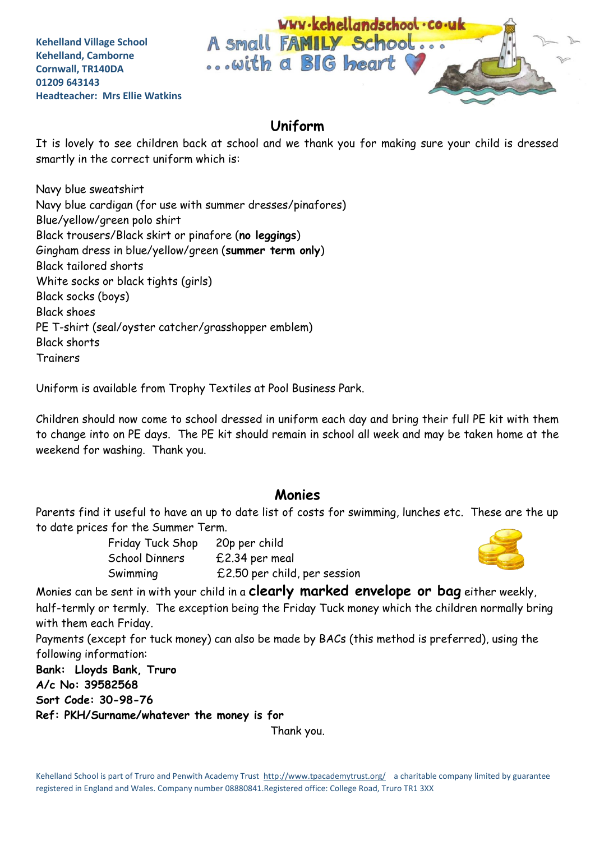

## **Uniform**

It is lovely to see children back at school and we thank you for making sure your child is dressed smartly in the correct uniform which is:

Navy blue sweatshirt Navy blue cardigan (for use with summer dresses/pinafores) Blue/yellow/green polo shirt Black trousers/Black skirt or pinafore (**no leggings**) Gingham dress in blue/yellow/green (**summer term only**) Black tailored shorts White socks or black tights (girls) Black socks (boys) Black shoes PE T-shirt (seal/oyster catcher/grasshopper emblem) Black shorts Trainers

Uniform is available from Trophy Textiles at Pool Business Park.

Children should now come to school dressed in uniform each day and bring their full PE kit with them to change into on PE days. The PE kit should remain in school all week and may be taken home at the weekend for washing. Thank you.

#### **Monies**

Parents find it useful to have an up to date list of costs for swimming, lunches etc. These are the up to date prices for the Summer Term.

| Friday Tuck Shop | 20p per child                |
|------------------|------------------------------|
| School Dinners   | £2.34 per meal               |
| Swimming         | £2.50 per child, per session |



Monies can be sent in with your child in a **clearly marked envelope or bag** either weekly, half-termly or termly. The exception being the Friday Tuck money which the children normally bring with them each Friday.

Payments (except for tuck money) can also be made by BACs (this method is preferred), using the following information:

**Bank: Lloyds Bank, Truro**

**A/c No: 39582568**

**Sort Code: 30-98-76**

**Ref: PKH/Surname/whatever the money is for**

Thank you.